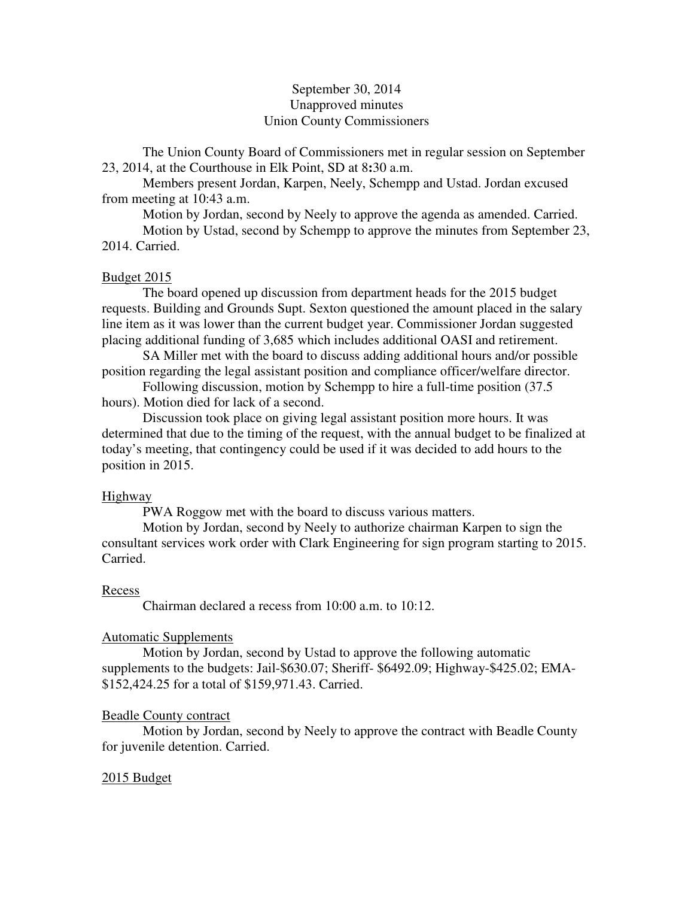# September 30, 2014 Unapproved minutes Union County Commissioners

The Union County Board of Commissioners met in regular session on September 23, 2014, at the Courthouse in Elk Point, SD at 8**:**30 a.m.

 Members present Jordan, Karpen, Neely, Schempp and Ustad. Jordan excused from meeting at 10:43 a.m.

Motion by Jordan, second by Neely to approve the agenda as amended. Carried.

 Motion by Ustad, second by Schempp to approve the minutes from September 23, 2014. Carried.

## Budget 2015

 The board opened up discussion from department heads for the 2015 budget requests. Building and Grounds Supt. Sexton questioned the amount placed in the salary line item as it was lower than the current budget year. Commissioner Jordan suggested placing additional funding of 3,685 which includes additional OASI and retirement.

 SA Miller met with the board to discuss adding additional hours and/or possible position regarding the legal assistant position and compliance officer/welfare director.

 Following discussion, motion by Schempp to hire a full-time position (37.5 hours). Motion died for lack of a second.

 Discussion took place on giving legal assistant position more hours. It was determined that due to the timing of the request, with the annual budget to be finalized at today's meeting, that contingency could be used if it was decided to add hours to the position in 2015.

### Highway

PWA Roggow met with the board to discuss various matters.

 Motion by Jordan, second by Neely to authorize chairman Karpen to sign the consultant services work order with Clark Engineering for sign program starting to 2015. Carried.

### Recess

Chairman declared a recess from 10:00 a.m. to 10:12.

# Automatic Supplements

 Motion by Jordan, second by Ustad to approve the following automatic supplements to the budgets: Jail-\$630.07; Sheriff- \$6492.09; Highway-\$425.02; EMA- \$152,424.25 for a total of \$159,971.43. Carried.

### Beadle County contract

 Motion by Jordan, second by Neely to approve the contract with Beadle County for juvenile detention. Carried.

### 2015 Budget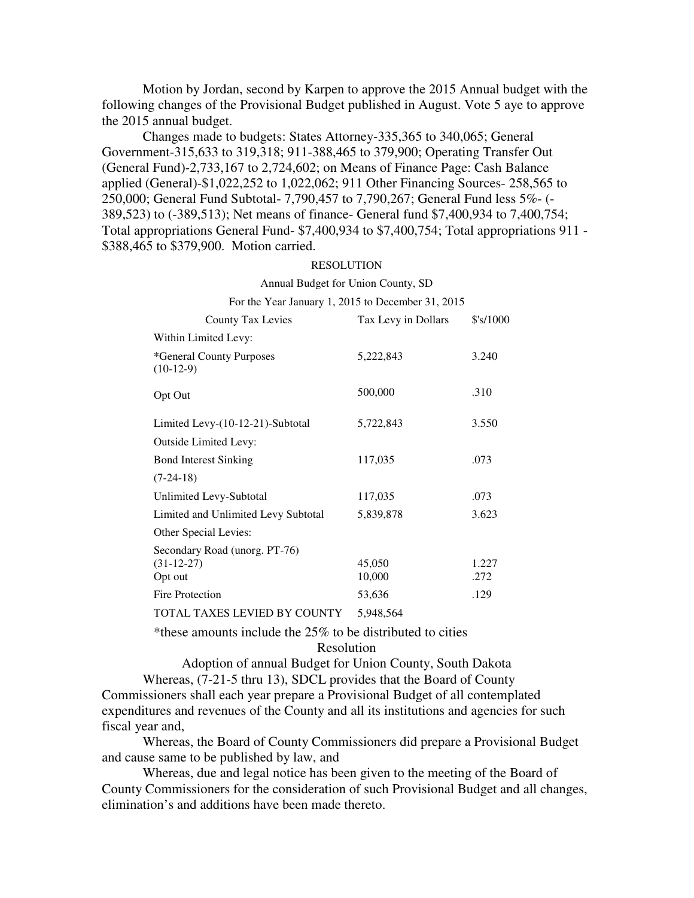Motion by Jordan, second by Karpen to approve the 2015 Annual budget with the following changes of the Provisional Budget published in August. Vote 5 aye to approve the 2015 annual budget.

 Changes made to budgets: States Attorney-335,365 to 340,065; General Government-315,633 to 319,318; 911-388,465 to 379,900; Operating Transfer Out (General Fund)-2,733,167 to 2,724,602; on Means of Finance Page: Cash Balance applied (General)-\$1,022,252 to 1,022,062; 911 Other Financing Sources- 258,565 to 250,000; General Fund Subtotal- 7,790,457 to 7,790,267; General Fund less 5%- (- 389,523) to (-389,513); Net means of finance- General fund \$7,400,934 to 7,400,754; Total appropriations General Fund- \$7,400,934 to \$7,400,754; Total appropriations 911 - \$388,465 to \$379,900. Motion carried.

#### RESOLUTION

#### Annual Budget for Union County, SD

| For the Year January 1, 2015 to December 31, 2015        |                     |                     |
|----------------------------------------------------------|---------------------|---------------------|
| <b>County Tax Levies</b>                                 | Tax Levy in Dollars | $$^{\prime}$ s/1000 |
| Within Limited Levy:                                     |                     |                     |
| *General County Purposes<br>$(10-12-9)$                  | 5,222,843           | 3.240               |
| Opt Out                                                  | 500,000             | .310                |
| Limited Levy-(10-12-21)-Subtotal                         | 5,722,843           | 3.550               |
| <b>Outside Limited Levy:</b>                             |                     |                     |
| <b>Bond Interest Sinking</b>                             | 117,035             | .073                |
| $(7-24-18)$                                              |                     |                     |
| Unlimited Levy-Subtotal                                  | 117,035             | .073                |
| Limited and Unlimited Levy Subtotal                      | 5,839,878           | 3.623               |
| Other Special Levies:                                    |                     |                     |
| Secondary Road (unorg. PT-76)<br>$(31-12-27)$<br>Opt out | 45,050<br>10,000    | 1.227<br>.272       |
| <b>Fire Protection</b>                                   | 53,636              | .129                |
| TOTAL TAXES LEVIED BY COUNTY                             | 5,948,564           |                     |

\*these amounts include the 25% to be distributed to cities

Resolution

Adoption of annual Budget for Union County, South Dakota Whereas, (7-21-5 thru 13), SDCL provides that the Board of County Commissioners shall each year prepare a Provisional Budget of all contemplated expenditures and revenues of the County and all its institutions and agencies for such fiscal year and,

 Whereas, the Board of County Commissioners did prepare a Provisional Budget and cause same to be published by law, and

 Whereas, due and legal notice has been given to the meeting of the Board of County Commissioners for the consideration of such Provisional Budget and all changes, elimination's and additions have been made thereto.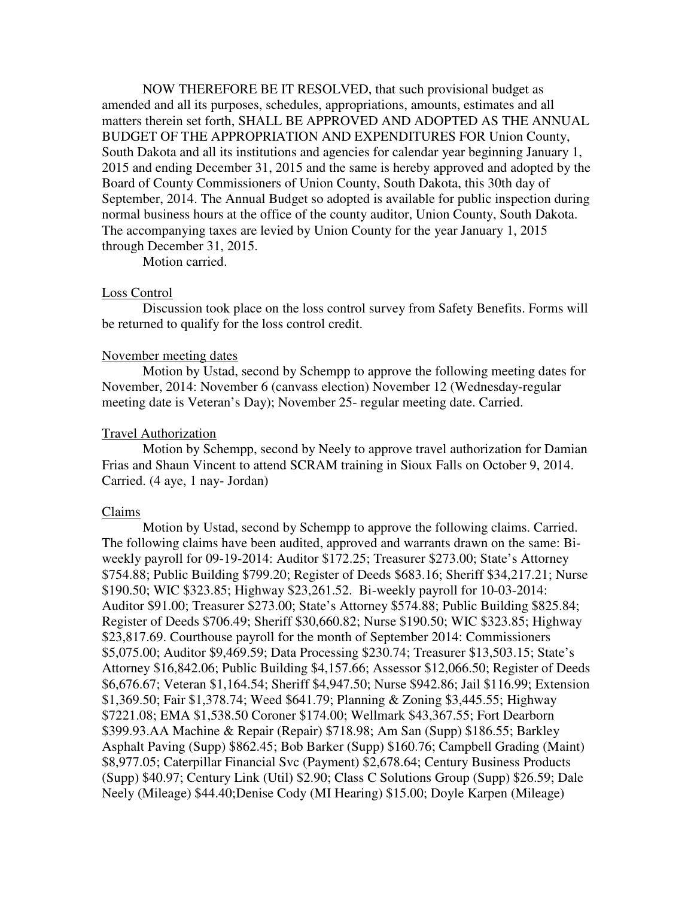NOW THEREFORE BE IT RESOLVED, that such provisional budget as amended and all its purposes, schedules, appropriations, amounts, estimates and all matters therein set forth, SHALL BE APPROVED AND ADOPTED AS THE ANNUAL BUDGET OF THE APPROPRIATION AND EXPENDITURES FOR Union County, South Dakota and all its institutions and agencies for calendar year beginning January 1, 2015 and ending December 31, 2015 and the same is hereby approved and adopted by the Board of County Commissioners of Union County, South Dakota, this 30th day of September, 2014. The Annual Budget so adopted is available for public inspection during normal business hours at the office of the county auditor, Union County, South Dakota. The accompanying taxes are levied by Union County for the year January 1, 2015 through December 31, 2015.

Motion carried.

### Loss Control

 Discussion took place on the loss control survey from Safety Benefits. Forms will be returned to qualify for the loss control credit.

## November meeting dates

 Motion by Ustad, second by Schempp to approve the following meeting dates for November, 2014: November 6 (canvass election) November 12 (Wednesday-regular meeting date is Veteran's Day); November 25- regular meeting date. Carried.

### Travel Authorization

 Motion by Schempp, second by Neely to approve travel authorization for Damian Frias and Shaun Vincent to attend SCRAM training in Sioux Falls on October 9, 2014. Carried. (4 aye, 1 nay- Jordan)

### Claims

 Motion by Ustad, second by Schempp to approve the following claims. Carried. The following claims have been audited, approved and warrants drawn on the same: Biweekly payroll for 09-19-2014: Auditor \$172.25; Treasurer \$273.00; State's Attorney \$754.88; Public Building \$799.20; Register of Deeds \$683.16; Sheriff \$34,217.21; Nurse \$190.50; WIC \$323.85; Highway \$23,261.52. Bi-weekly payroll for 10-03-2014: Auditor \$91.00; Treasurer \$273.00; State's Attorney \$574.88; Public Building \$825.84; Register of Deeds \$706.49; Sheriff \$30,660.82; Nurse \$190.50; WIC \$323.85; Highway \$23,817.69. Courthouse payroll for the month of September 2014: Commissioners \$5,075.00; Auditor \$9,469.59; Data Processing \$230.74; Treasurer \$13,503.15; State's Attorney \$16,842.06; Public Building \$4,157.66; Assessor \$12,066.50; Register of Deeds \$6,676.67; Veteran \$1,164.54; Sheriff \$4,947.50; Nurse \$942.86; Jail \$116.99; Extension \$1,369.50; Fair \$1,378.74; Weed \$641.79; Planning & Zoning \$3,445.55; Highway \$7221.08; EMA \$1,538.50 Coroner \$174.00; Wellmark \$43,367.55; Fort Dearborn \$399.93.AA Machine & Repair (Repair) \$718.98; Am San (Supp) \$186.55; Barkley Asphalt Paving (Supp) \$862.45; Bob Barker (Supp) \$160.76; Campbell Grading (Maint) \$8,977.05; Caterpillar Financial Svc (Payment) \$2,678.64; Century Business Products (Supp) \$40.97; Century Link (Util) \$2.90; Class C Solutions Group (Supp) \$26.59; Dale Neely (Mileage) \$44.40;Denise Cody (MI Hearing) \$15.00; Doyle Karpen (Mileage)